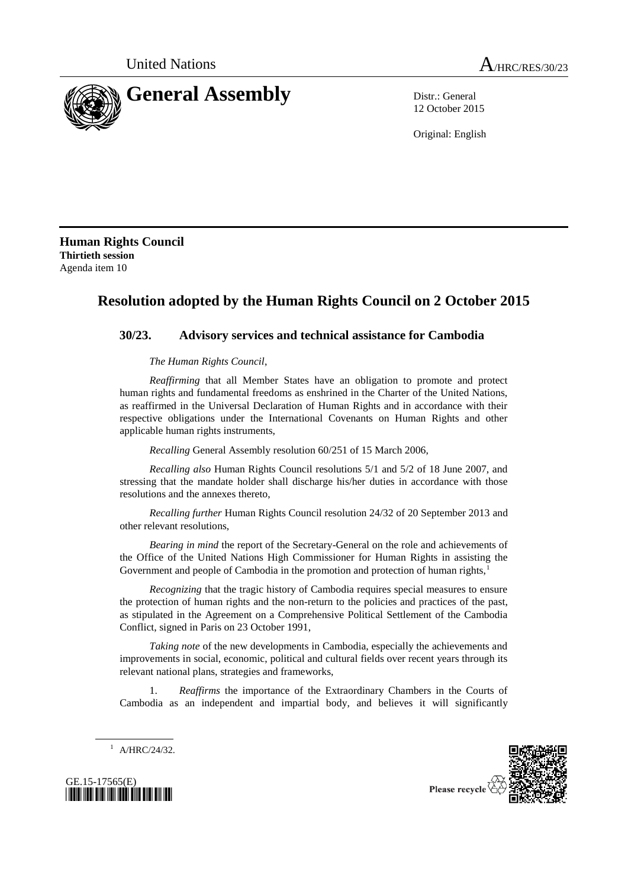

12 October 2015

Original: English

**Human Rights Council Thirtieth session** Agenda item 10

## **Resolution adopted by the Human Rights Council on 2 October 2015**

## **30/23. Advisory services and technical assistance for Cambodia**

*The Human Rights Council*,

*Reaffirming* that all Member States have an obligation to promote and protect human rights and fundamental freedoms as enshrined in the Charter of the United Nations, as reaffirmed in the Universal Declaration of Human Rights and in accordance with their respective obligations under the International Covenants on Human Rights and other applicable human rights instruments,

*Recalling* General Assembly resolution 60/251 of 15 March 2006,

*Recalling also* Human Rights Council resolutions 5/1 and 5/2 of 18 June 2007, and stressing that the mandate holder shall discharge his/her duties in accordance with those resolutions and the annexes thereto,

*Recalling further* Human Rights Council resolution 24/32 of 20 September 2013 and other relevant resolutions,

*Bearing in mind* the report of the Secretary-General on the role and achievements of the Office of the United Nations High Commissioner for Human Rights in assisting the Government and people of Cambodia in the promotion and protection of human rights,<sup>1</sup>

*Recognizing* that the tragic history of Cambodia requires special measures to ensure the protection of human rights and the non-return to the policies and practices of the past, as stipulated in the Agreement on a Comprehensive Political Settlement of the Cambodia Conflict, signed in Paris on 23 October 1991,

*Taking note* of the new developments in Cambodia, especially the achievements and improvements in social, economic, political and cultural fields over recent years through its relevant national plans, strategies and frameworks,

1. *Reaffirms* the importance of the Extraordinary Chambers in the Courts of Cambodia as an independent and impartial body, and believes it will significantly

 $1$  A/HRC/24/32.



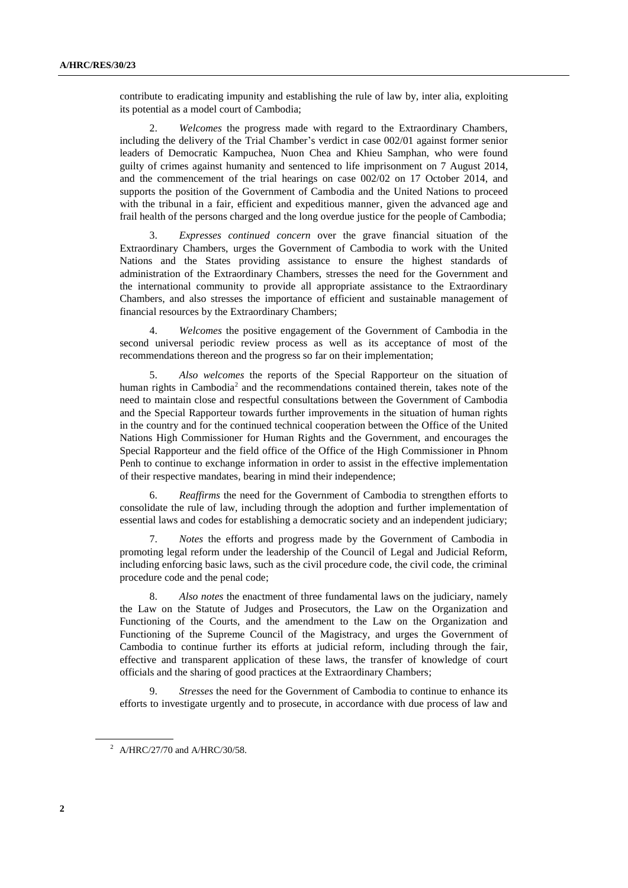contribute to eradicating impunity and establishing the rule of law by, inter alia, exploiting its potential as a model court of Cambodia;

2. *Welcomes* the progress made with regard to the Extraordinary Chambers, including the delivery of the Trial Chamber's verdict in case 002/01 against former senior leaders of Democratic Kampuchea, Nuon Chea and Khieu Samphan, who were found guilty of crimes against humanity and sentenced to life imprisonment on 7 August 2014, and the commencement of the trial hearings on case 002/02 on 17 October 2014, and supports the position of the Government of Cambodia and the United Nations to proceed with the tribunal in a fair, efficient and expeditious manner, given the advanced age and frail health of the persons charged and the long overdue justice for the people of Cambodia;

3. *Expresses continued concern* over the grave financial situation of the Extraordinary Chambers, urges the Government of Cambodia to work with the United Nations and the States providing assistance to ensure the highest standards of administration of the Extraordinary Chambers, stresses the need for the Government and the international community to provide all appropriate assistance to the Extraordinary Chambers, and also stresses the importance of efficient and sustainable management of financial resources by the Extraordinary Chambers;

4. *Welcomes* the positive engagement of the Government of Cambodia in the second universal periodic review process as well as its acceptance of most of the recommendations thereon and the progress so far on their implementation;

5. *Also welcomes* the reports of the Special Rapporteur on the situation of human rights in Cambodia<sup>2</sup> and the recommendations contained therein, takes note of the need to maintain close and respectful consultations between the Government of Cambodia and the Special Rapporteur towards further improvements in the situation of human rights in the country and for the continued technical cooperation between the Office of the United Nations High Commissioner for Human Rights and the Government, and encourages the Special Rapporteur and the field office of the Office of the High Commissioner in Phnom Penh to continue to exchange information in order to assist in the effective implementation of their respective mandates, bearing in mind their independence;

6. *Reaffirms* the need for the Government of Cambodia to strengthen efforts to consolidate the rule of law, including through the adoption and further implementation of essential laws and codes for establishing a democratic society and an independent judiciary;

7. *Notes* the efforts and progress made by the Government of Cambodia in promoting legal reform under the leadership of the Council of Legal and Judicial Reform, including enforcing basic laws, such as the civil procedure code, the civil code, the criminal procedure code and the penal code;

8. *Also notes* the enactment of three fundamental laws on the judiciary, namely the Law on the Statute of Judges and Prosecutors, the Law on the Organization and Functioning of the Courts, and the amendment to the Law on the Organization and Functioning of the Supreme Council of the Magistracy, and urges the Government of Cambodia to continue further its efforts at judicial reform, including through the fair, effective and transparent application of these laws, the transfer of knowledge of court officials and the sharing of good practices at the Extraordinary Chambers;

9. *Stresses* the need for the Government of Cambodia to continue to enhance its efforts to investigate urgently and to prosecute, in accordance with due process of law and

<sup>&</sup>lt;sup>2</sup> A/HRC/27/70 and A/HRC/30/58.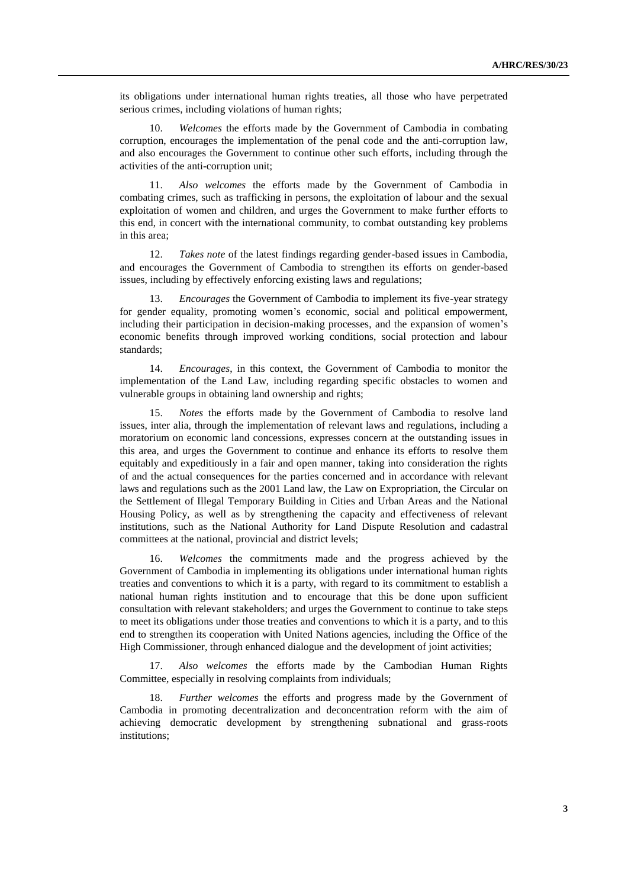its obligations under international human rights treaties, all those who have perpetrated serious crimes, including violations of human rights;

10. *Welcomes* the efforts made by the Government of Cambodia in combating corruption, encourages the implementation of the penal code and the anti-corruption law, and also encourages the Government to continue other such efforts, including through the activities of the anti-corruption unit;

11. *Also welcomes* the efforts made by the Government of Cambodia in combating crimes, such as trafficking in persons, the exploitation of labour and the sexual exploitation of women and children, and urges the Government to make further efforts to this end, in concert with the international community, to combat outstanding key problems in this area;

12. *Takes note* of the latest findings regarding gender-based issues in Cambodia, and encourages the Government of Cambodia to strengthen its efforts on gender-based issues, including by effectively enforcing existing laws and regulations;

13. *Encourages* the Government of Cambodia to implement its five-year strategy for gender equality, promoting women's economic, social and political empowerment, including their participation in decision-making processes, and the expansion of women's economic benefits through improved working conditions, social protection and labour standards;

14. *Encourages*, in this context, the Government of Cambodia to monitor the implementation of the Land Law, including regarding specific obstacles to women and vulnerable groups in obtaining land ownership and rights;

15. *Notes* the efforts made by the Government of Cambodia to resolve land issues, inter alia, through the implementation of relevant laws and regulations, including a moratorium on economic land concessions, expresses concern at the outstanding issues in this area, and urges the Government to continue and enhance its efforts to resolve them equitably and expeditiously in a fair and open manner, taking into consideration the rights of and the actual consequences for the parties concerned and in accordance with relevant laws and regulations such as the 2001 Land law, the Law on Expropriation, the Circular on the Settlement of Illegal Temporary Building in Cities and Urban Areas and the National Housing Policy, as well as by strengthening the capacity and effectiveness of relevant institutions, such as the National Authority for Land Dispute Resolution and cadastral committees at the national, provincial and district levels;

16. *Welcomes* the commitments made and the progress achieved by the Government of Cambodia in implementing its obligations under international human rights treaties and conventions to which it is a party, with regard to its commitment to establish a national human rights institution and to encourage that this be done upon sufficient consultation with relevant stakeholders; and urges the Government to continue to take steps to meet its obligations under those treaties and conventions to which it is a party, and to this end to strengthen its cooperation with United Nations agencies, including the Office of the High Commissioner, through enhanced dialogue and the development of joint activities;

17. *Also welcomes* the efforts made by the Cambodian Human Rights Committee, especially in resolving complaints from individuals;

18. *Further welcomes* the efforts and progress made by the Government of Cambodia in promoting decentralization and deconcentration reform with the aim of achieving democratic development by strengthening subnational and grass-roots institutions;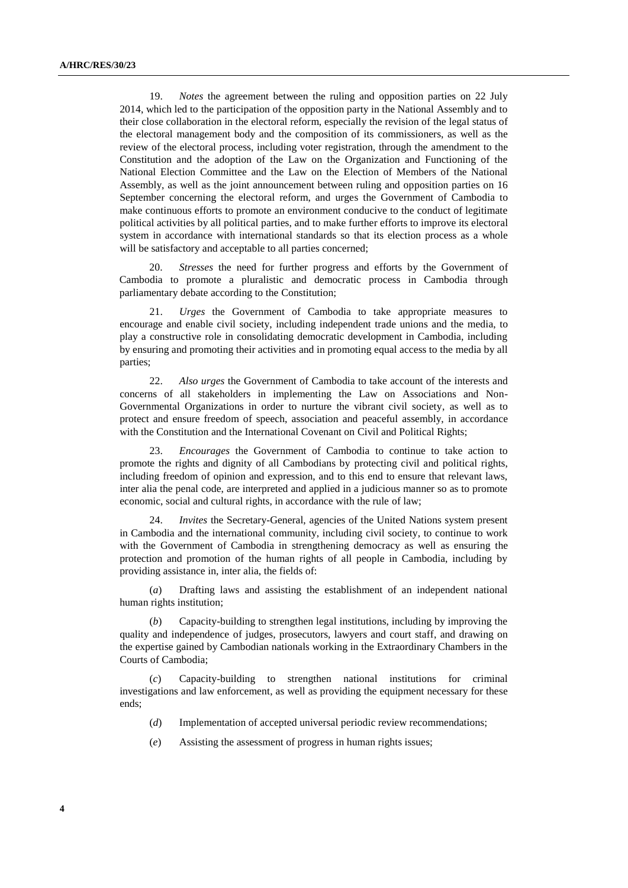19. *Notes* the agreement between the ruling and opposition parties on 22 July 2014, which led to the participation of the opposition party in the National Assembly and to their close collaboration in the electoral reform, especially the revision of the legal status of the electoral management body and the composition of its commissioners, as well as the review of the electoral process, including voter registration, through the amendment to the Constitution and the adoption of the Law on the Organization and Functioning of the National Election Committee and the Law on the Election of Members of the National Assembly, as well as the joint announcement between ruling and opposition parties on 16 September concerning the electoral reform, and urges the Government of Cambodia to make continuous efforts to promote an environment conducive to the conduct of legitimate political activities by all political parties, and to make further efforts to improve its electoral system in accordance with international standards so that its election process as a whole will be satisfactory and acceptable to all parties concerned;

20. *Stresses* the need for further progress and efforts by the Government of Cambodia to promote a pluralistic and democratic process in Cambodia through parliamentary debate according to the Constitution;

21. *Urges* the Government of Cambodia to take appropriate measures to encourage and enable civil society, including independent trade unions and the media, to play a constructive role in consolidating democratic development in Cambodia, including by ensuring and promoting their activities and in promoting equal access to the media by all parties;

22. *Also urges* the Government of Cambodia to take account of the interests and concerns of all stakeholders in implementing the Law on Associations and Non-Governmental Organizations in order to nurture the vibrant civil society, as well as to protect and ensure freedom of speech, association and peaceful assembly, in accordance with the Constitution and the International Covenant on Civil and Political Rights;

23. *Encourages* the Government of Cambodia to continue to take action to promote the rights and dignity of all Cambodians by protecting civil and political rights, including freedom of opinion and expression, and to this end to ensure that relevant laws, inter alia the penal code, are interpreted and applied in a judicious manner so as to promote economic, social and cultural rights, in accordance with the rule of law;

24. *Invites* the Secretary-General, agencies of the United Nations system present in Cambodia and the international community, including civil society, to continue to work with the Government of Cambodia in strengthening democracy as well as ensuring the protection and promotion of the human rights of all people in Cambodia, including by providing assistance in, inter alia, the fields of:

(*a*) Drafting laws and assisting the establishment of an independent national human rights institution;

(*b*) Capacity-building to strengthen legal institutions, including by improving the quality and independence of judges, prosecutors, lawyers and court staff, and drawing on the expertise gained by Cambodian nationals working in the Extraordinary Chambers in the Courts of Cambodia;

(*c*) Capacity-building to strengthen national institutions for criminal investigations and law enforcement, as well as providing the equipment necessary for these ends;

- (*d*) Implementation of accepted universal periodic review recommendations;
- (*e*) Assisting the assessment of progress in human rights issues;